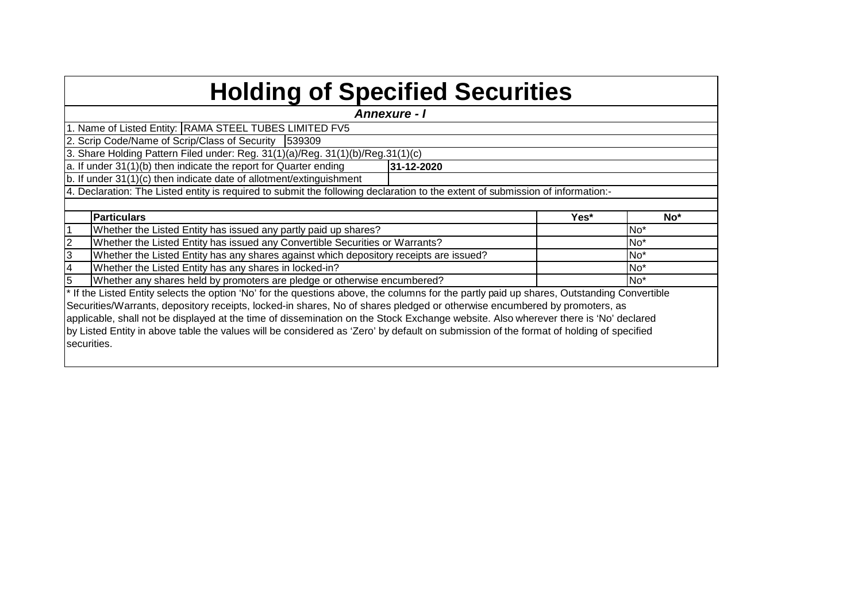| <b>Holding of Specified Securities</b>                                                                                                     |      |                 |
|--------------------------------------------------------------------------------------------------------------------------------------------|------|-----------------|
| <b>Annexure - I</b>                                                                                                                        |      |                 |
| 1. Name of Listed Entity: RAMA STEEL TUBES LIMITED FV5                                                                                     |      |                 |
| 2. Scrip Code/Name of Scrip/Class of Security 539309                                                                                       |      |                 |
| 3. Share Holding Pattern Filed under: Reg. 31(1)(a)/Reg. 31(1)(b)/Reg. 31(1)(c)                                                            |      |                 |
| a. If under 31(1)(b) then indicate the report for Quarter ending<br>31-12-2020                                                             |      |                 |
| b. If under 31(1)(c) then indicate date of allotment/extinguishment                                                                        |      |                 |
| 4. Declaration: The Listed entity is required to submit the following declaration to the extent of submission of information:-             |      |                 |
|                                                                                                                                            |      |                 |
| <b>Particulars</b>                                                                                                                         | Yes* | No*             |
| Whether the Listed Entity has issued any partly paid up shares?                                                                            |      | No <sup>*</sup> |
| 2<br>Whether the Listed Entity has issued any Convertible Securities or Warrants?                                                          |      | No <sup>*</sup> |
| 3<br>Whether the Listed Entity has any shares against which depository receipts are issued?                                                |      | No <sup>*</sup> |
| Whether the Listed Entity has any shares in locked-in?<br>4                                                                                |      | No <sup>*</sup> |
| 5<br>Whether any shares held by promoters are pledge or otherwise encumbered?                                                              |      | No <sup>*</sup> |
| * If the Listed Entity selects the option 'No' for the questions above, the columns for the partly paid up shares, Outstanding Convertible |      |                 |
| Securities/Warrants, depository receipts, locked-in shares, No of shares pledged or otherwise encumbered by promoters, as                  |      |                 |
| applicable, shall not be displayed at the time of dissemination on the Stock Exchange website. Also wherever there is 'No' declared        |      |                 |
| by Listed Entity in above table the values will be considered as 'Zero' by default on submission of the format of holding of specified     |      |                 |
| securities.                                                                                                                                |      |                 |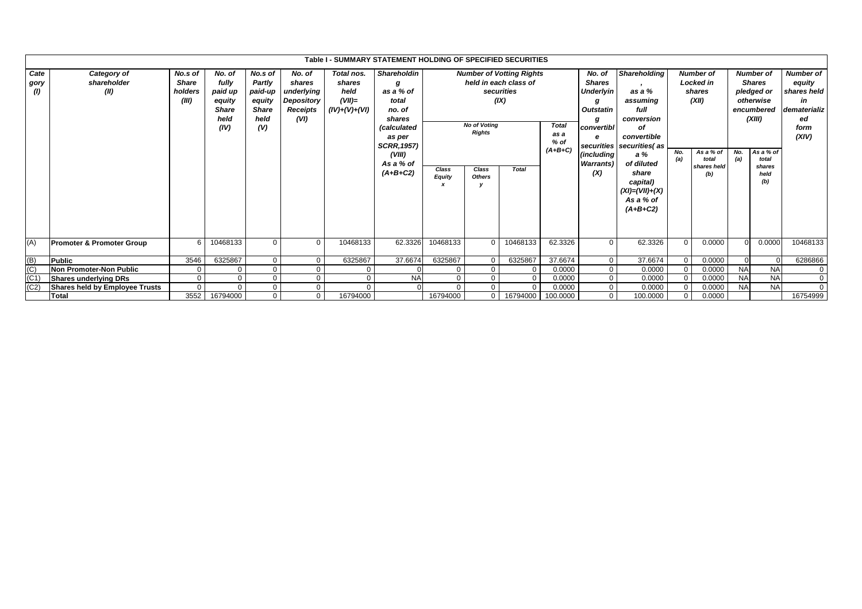|                     |                                                |                                             |                                                                      |                                                                              |                                                                  | Table I - SUMMARY STATEMENT HOLDING OF SPECIFIED SECURITIES |                                                                                                                                                              |                                  |                                                                |                                                                                                |                                             |                                                                                                                       |                                                                                                                                                                                                  |                      |                                                                                              |            |                                                                                                                                     |                                                                                        |
|---------------------|------------------------------------------------|---------------------------------------------|----------------------------------------------------------------------|------------------------------------------------------------------------------|------------------------------------------------------------------|-------------------------------------------------------------|--------------------------------------------------------------------------------------------------------------------------------------------------------------|----------------------------------|----------------------------------------------------------------|------------------------------------------------------------------------------------------------|---------------------------------------------|-----------------------------------------------------------------------------------------------------------------------|--------------------------------------------------------------------------------------------------------------------------------------------------------------------------------------------------|----------------------|----------------------------------------------------------------------------------------------|------------|-------------------------------------------------------------------------------------------------------------------------------------|----------------------------------------------------------------------------------------|
| Cate<br>gory<br>(1) | Category of<br>shareholder<br>(II)             | No.s of<br><b>Share</b><br>holders<br>(III) | No. of<br>fully<br>paid up<br>equity<br><b>Share</b><br>held<br>(IV) | No.s of<br><b>Partly</b><br>paid-up<br>equity<br><b>Share</b><br>held<br>(V) | No. of<br>shares<br>underlying<br>Depository<br>Receipts<br>(VI) | Total nos.<br>shares<br>held<br>$(VII)=$<br>$(IV)+(V)+(VI)$ | <b>Shareholdin</b><br>a<br>as a % of<br>total<br>no. of<br>shares<br><i>(calculated</i><br>as per<br><b>SCRR, 1957)</b><br>(VIII)<br>As a % of<br>$(A+B+C2)$ | Class<br><b>Equity</b>           | <b>No of Voting</b><br><b>Rights</b><br>Class<br><b>Others</b> | <b>Number of Votting Rights</b><br>held in each class of<br>securities<br>(IX)<br><b>Total</b> | <b>Total</b><br>as a<br>$%$ of<br>$(A+B+C)$ | No. of<br><b>Shares</b><br><b>Underlyin</b><br>Outstatin<br>convertibl<br>е<br>(including<br><b>Warrants</b> )<br>(X) | <b>Shareholding</b><br>as a %<br>assuming<br>full<br>conversion<br>οf<br>convertible<br>securities securities (as<br>a %<br>of diluted<br>share<br>capital)<br>$(XI) = (VII) + (X)$<br>As a % of | No.<br>(a)           | <b>Number of</b><br>Locked in<br>shares<br>(XII)<br>As a % of<br>total<br>shares held<br>(b) | No.<br>(a) | <b>Number of</b><br><b>Shares</b><br>pledged or<br>otherwise<br>encumbered<br>(XIII)<br>As a % of<br>total<br>shares<br>held<br>(b) | <b>Number of</b><br>equity<br>shares held<br>in<br>dematerializ<br>ed<br>form<br>(XIV) |
| (A)                 | <b>Promoter &amp; Promoter Group</b><br>Public | 6<br>3546                                   | 10468133<br>6325867                                                  | $\Omega$<br>$\Omega$                                                         | $\Omega$                                                         | 10468133<br>6325867                                         | 62.3326<br>37.6674                                                                                                                                           | 10468133<br>6325867              | $\Omega$<br>$\Omega$                                           | 10468133<br>6325867                                                                            | 62.3326<br>37.6674                          | $\Omega$<br>$\overline{0}$                                                                                            | $(A+B+C2)$<br>62.3326<br>37.6674                                                                                                                                                                 | $\Omega$<br>$\Omega$ | 0.0000<br>0.0000                                                                             | $\Omega$   | 0.0000<br>$\Omega$                                                                                                                  | 10468133<br>6286866                                                                    |
| $\frac{(B)}{(C)}$   | Non Promoter-Non Public                        |                                             | $\Omega$                                                             | $\Omega$                                                                     |                                                                  | $\Omega$                                                    |                                                                                                                                                              | $\mathbf 0$<br>$\Omega$          |                                                                |                                                                                                | 0.0000                                      | $\Omega$                                                                                                              | 0.0000                                                                                                                                                                                           |                      | 0.0000                                                                                       | <b>NA</b>  | <b>NA</b>                                                                                                                           | $\mathbf{0}$                                                                           |
| (C1)                | <b>Shares underlying DRs</b>                   |                                             | $\Omega$                                                             | $\mathbf 0$                                                                  |                                                                  | 0                                                           | <b>NA</b>                                                                                                                                                    | $\mathbf 0$<br>$\Omega$          |                                                                |                                                                                                | 0.0000                                      | $\mathbf 0$                                                                                                           | 0.0000                                                                                                                                                                                           |                      | 0.0000                                                                                       | <b>NA</b>  | <b>NA</b>                                                                                                                           | $\mathbf{0}$                                                                           |
| (C2)                | Shares held by Employee Trusts                 |                                             | $\Omega$                                                             | 0                                                                            |                                                                  | $\Omega$                                                    |                                                                                                                                                              | $\Omega$<br>$\Omega$<br>$\Omega$ |                                                                |                                                                                                | 0.0000                                      | $\Omega$                                                                                                              | 0.0000                                                                                                                                                                                           |                      | 0.0000                                                                                       | <b>NA</b>  | <b>NA</b>                                                                                                                           | $\overline{0}$                                                                         |
|                     | Total                                          | 3552                                        | 16794000                                                             | $\Omega$                                                                     | $\mathbf 0$                                                      | 16794000                                                    |                                                                                                                                                              | 16794000                         | 0                                                              | 16794000                                                                                       | 100.0000                                    | $\overline{0}$                                                                                                        | 100.0000                                                                                                                                                                                         |                      | 0.0000                                                                                       |            |                                                                                                                                     | 16754999                                                                               |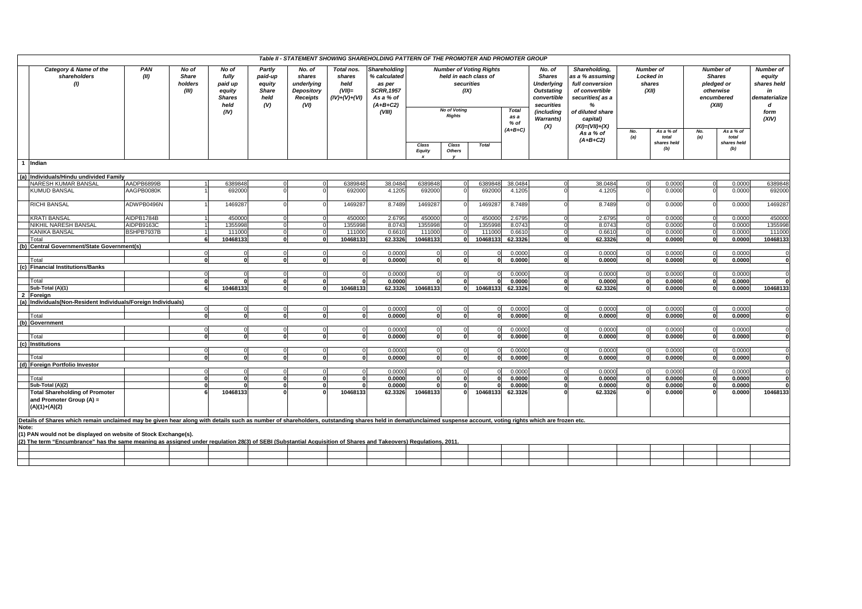|       |                                                                                                                                                                                                                                    |             |                                    |                                                                      |                                                            |                                                                         |                                                             | Table II - STATEMENT SHOWING SHAREHOLDING PATTERN OF THE PROMOTER AND PROMOTER GROUP             |                        |                                                                                     |                                |                                           |                                                                                                                                         |                                                                                                                                                       |                                                                |                             |                                                                                   |                             |                                                                                        |
|-------|------------------------------------------------------------------------------------------------------------------------------------------------------------------------------------------------------------------------------------|-------------|------------------------------------|----------------------------------------------------------------------|------------------------------------------------------------|-------------------------------------------------------------------------|-------------------------------------------------------------|--------------------------------------------------------------------------------------------------|------------------------|-------------------------------------------------------------------------------------|--------------------------------|-------------------------------------------|-----------------------------------------------------------------------------------------------------------------------------------------|-------------------------------------------------------------------------------------------------------------------------------------------------------|----------------------------------------------------------------|-----------------------------|-----------------------------------------------------------------------------------|-----------------------------|----------------------------------------------------------------------------------------|
|       | Category & Name of the<br>shareholders<br>(1)                                                                                                                                                                                      | PAN<br>(II) | No of<br>Share<br>holders<br>(III) | No of<br>fully<br>paid up<br>equity<br><b>Shares</b><br>held<br>(IV) | Partly<br>paid-up<br>equity<br><b>Share</b><br>held<br>(V) | No. of<br>shares<br>underlying<br>Depository<br><b>Receipts</b><br>(VI) | Total nos.<br>shares<br>held<br>$(VII)=$<br>$(IV)+(V)+(VI)$ | Shareholding<br>% calculated<br>as per<br><b>SCRR, 1957</b><br>As a % of<br>$(A+B+C2)$<br>(VIII) |                        | held in each class of<br>securities<br>(IX)<br><b>No of Voting</b><br><b>Rights</b> | <b>Number of Voting Rights</b> | <b>Total</b><br>as a<br>% of<br>$(A+B+C)$ | No. of<br><b>Shares</b><br><b>Underlying</b><br><b>Outstating</b><br>convertible<br>securities<br>(including<br><b>Warrants)</b><br>(X) | Shareholding,<br>as a % assuming<br>full conversion<br>of convertible<br>securities(as a<br>%<br>of diluted share<br>capital)<br>$(XI) = (VII) + (X)$ | <b>Number of</b><br><b>Locked in</b><br>shares<br>(XII)<br>No. | As a % of                   | <b>Number</b> of<br><b>Shares</b><br>pledged or<br>otherwise<br>encumbered<br>No. | (XIII)<br>As a % of         | <b>Number of</b><br>equity<br>shares held<br>in<br>dematerialize<br>d<br>form<br>(XIV) |
|       |                                                                                                                                                                                                                                    |             |                                    |                                                                      |                                                            |                                                                         |                                                             |                                                                                                  | Class<br><b>Equity</b> | Class<br><b>Others</b>                                                              | <b>Total</b>                   |                                           |                                                                                                                                         | As a % of<br>$(A+B+C2)$                                                                                                                               | (a)                                                            | total<br>shares held<br>(b) | (a)                                                                               | total<br>shares held<br>(b) |                                                                                        |
|       | 1 Indian                                                                                                                                                                                                                           |             |                                    |                                                                      |                                                            |                                                                         |                                                             |                                                                                                  |                        |                                                                                     |                                |                                           |                                                                                                                                         |                                                                                                                                                       |                                                                |                             |                                                                                   |                             |                                                                                        |
|       | (a) Individuals/Hindu undivided Family                                                                                                                                                                                             |             |                                    |                                                                      |                                                            |                                                                         |                                                             |                                                                                                  |                        |                                                                                     |                                |                                           |                                                                                                                                         |                                                                                                                                                       |                                                                |                             |                                                                                   |                             |                                                                                        |
|       | NARESH KUMAR BANSAL                                                                                                                                                                                                                | AADPB6899B  |                                    | 6389848                                                              |                                                            |                                                                         | 638984                                                      | 38.0484                                                                                          | 6389848                |                                                                                     | 6389848                        | 38.0484                                   |                                                                                                                                         | 38.0484                                                                                                                                               |                                                                | 0.0000                      |                                                                                   | 0.0000                      | 6389848                                                                                |
|       | <b>KUMUD BANSAL</b>                                                                                                                                                                                                                | AAGPB0080K  |                                    | 692000                                                               |                                                            |                                                                         | 692000                                                      | 4.1205                                                                                           | 692000                 |                                                                                     | 692000                         | 4.1205                                    |                                                                                                                                         | 4.1205                                                                                                                                                |                                                                | 0.0000                      |                                                                                   | 0.0000                      | 692000                                                                                 |
|       | <b>RICHI BANSAL</b>                                                                                                                                                                                                                | ADWPB0496N  |                                    | 146928                                                               |                                                            |                                                                         | 146928                                                      | 8.7489                                                                                           | 1469287                |                                                                                     | 146928                         | 8.7489                                    |                                                                                                                                         | 8.7489                                                                                                                                                |                                                                | 0.000C                      |                                                                                   | 0.0000                      | 1469287                                                                                |
|       | <b>KRATI BANSAL</b>                                                                                                                                                                                                                | AIDPB1784B  |                                    | 450000                                                               |                                                            |                                                                         | 45000                                                       | 2.6795                                                                                           | 450000                 |                                                                                     | 450000                         | 2.6795                                    |                                                                                                                                         | 2.6795                                                                                                                                                |                                                                | 0.000C                      |                                                                                   | 0.0000                      | 450000                                                                                 |
|       | NIKHIL NARESH BANSAL                                                                                                                                                                                                               | AIDPB9163C  |                                    | 135599                                                               |                                                            |                                                                         | 1355998                                                     | 8.0743                                                                                           | 1355998                |                                                                                     | 1355998                        | 8.0743                                    |                                                                                                                                         | 8.0743                                                                                                                                                |                                                                | 0.0000                      |                                                                                   | 0.0000                      | 1355998                                                                                |
|       | <b>KANIKA BANSAL</b>                                                                                                                                                                                                               | BSHPB7937B  |                                    | 111000                                                               |                                                            |                                                                         | 11100                                                       | 0.6610                                                                                           | 111000                 |                                                                                     | 11100                          | 0.6610                                    |                                                                                                                                         | 0.6610                                                                                                                                                |                                                                | 0.0000                      |                                                                                   | 0.0000                      | 111000                                                                                 |
|       | Total                                                                                                                                                                                                                              |             | 6                                  | 10468133                                                             |                                                            |                                                                         | 10468133                                                    | 62.3326                                                                                          | 10468133               |                                                                                     | 10468133                       | 62.3326                                   | n١                                                                                                                                      | 62.3326                                                                                                                                               |                                                                | 0.0000                      | 0                                                                                 | 0.0000                      | 10468133                                                                               |
|       | (b) Central Government/State Government(s)                                                                                                                                                                                         |             |                                    |                                                                      |                                                            |                                                                         |                                                             |                                                                                                  |                        |                                                                                     |                                |                                           |                                                                                                                                         |                                                                                                                                                       |                                                                |                             |                                                                                   |                             |                                                                                        |
|       |                                                                                                                                                                                                                                    |             | $\overline{0}$                     |                                                                      | $\Omega$                                                   | $\Omega$                                                                | $\Omega$                                                    | 0.0000                                                                                           | $\overline{0}$         | $\Omega$                                                                            | $\Omega$                       | 0.0000                                    | $\Omega$                                                                                                                                | 0.0000                                                                                                                                                |                                                                | 0.0000                      | $\Omega$                                                                          | 0.0000                      |                                                                                        |
|       | Total                                                                                                                                                                                                                              |             | $\Omega$                           |                                                                      |                                                            |                                                                         |                                                             | 0.0000                                                                                           |                        |                                                                                     | $\Omega$                       | 0.0000                                    | o١                                                                                                                                      | 0.0000                                                                                                                                                |                                                                | 0.0000                      |                                                                                   | 0.0000                      |                                                                                        |
|       | (c) Financial Institutions/Banks                                                                                                                                                                                                   |             |                                    |                                                                      |                                                            |                                                                         |                                                             |                                                                                                  |                        |                                                                                     |                                |                                           |                                                                                                                                         |                                                                                                                                                       |                                                                |                             |                                                                                   |                             |                                                                                        |
|       |                                                                                                                                                                                                                                    |             | $\mathbf 0$                        |                                                                      |                                                            |                                                                         |                                                             | 0.0000                                                                                           | $\Omega$               |                                                                                     |                                | 0.0000                                    |                                                                                                                                         | 0.0000                                                                                                                                                |                                                                | 0.0000                      |                                                                                   | 0.0000                      |                                                                                        |
|       | Total                                                                                                                                                                                                                              |             | ol                                 |                                                                      | $\Omega$                                                   | $\mathbf{r}$                                                            |                                                             | 0.0000                                                                                           | $\Omega$               |                                                                                     | ŋ                              | 0.0000                                    | 0                                                                                                                                       | 0.0000                                                                                                                                                | $\Omega$                                                       | 0.0000                      | 0                                                                                 | 0.0000                      |                                                                                        |
|       | Sub-Total (A)(1)                                                                                                                                                                                                                   |             | 6                                  | 10468133                                                             |                                                            |                                                                         | 10468133                                                    | 62.3326                                                                                          | 10468133               |                                                                                     | 10468133                       | 62.3326                                   | ٥I                                                                                                                                      | 62.3326                                                                                                                                               |                                                                | 0.0000                      |                                                                                   | 0.0000                      | 10468133                                                                               |
|       | 2 Foreign                                                                                                                                                                                                                          |             |                                    |                                                                      |                                                            |                                                                         |                                                             |                                                                                                  |                        |                                                                                     |                                |                                           |                                                                                                                                         |                                                                                                                                                       |                                                                |                             |                                                                                   |                             |                                                                                        |
|       | (a) Individuals (Non-Resident Individuals/Foreign Individuals)                                                                                                                                                                     |             |                                    |                                                                      |                                                            |                                                                         |                                                             |                                                                                                  |                        |                                                                                     |                                |                                           |                                                                                                                                         |                                                                                                                                                       |                                                                |                             |                                                                                   |                             |                                                                                        |
|       |                                                                                                                                                                                                                                    |             | $\circ$                            |                                                                      |                                                            |                                                                         |                                                             | 0.0000                                                                                           | $\Omega$               |                                                                                     | $\Omega$                       | 0.0000                                    |                                                                                                                                         | 0.0000                                                                                                                                                |                                                                | 0.0000                      |                                                                                   | 0.0000                      |                                                                                        |
|       | Total                                                                                                                                                                                                                              |             | $\Omega$                           |                                                                      |                                                            |                                                                         |                                                             | 0.0000                                                                                           | $\Omega$               |                                                                                     | $\Omega$                       | 0.0000                                    | n١                                                                                                                                      | 0.0000                                                                                                                                                |                                                                | 0.0000                      | ΩI                                                                                | 0.0000                      | $\Omega$                                                                               |
|       | (b) Government                                                                                                                                                                                                                     |             | $\circ$                            |                                                                      | $\Omega$                                                   | $\Omega$                                                                |                                                             | 0.0000                                                                                           | $\Omega$               |                                                                                     | $\Omega$                       | 0.0000                                    | $\Omega$                                                                                                                                | 0.0000                                                                                                                                                |                                                                | 0.0000                      | $\Omega$                                                                          | 0.0000                      |                                                                                        |
|       | Total                                                                                                                                                                                                                              |             | $\mathbf{0}$                       |                                                                      |                                                            |                                                                         | O                                                           | 0.0000                                                                                           |                        |                                                                                     | O                              | 0.0000                                    | οl                                                                                                                                      | 0.0000                                                                                                                                                |                                                                | 0.0000                      | $\mathbf{0}$                                                                      | 0.0000                      |                                                                                        |
|       | (c) Institutions                                                                                                                                                                                                                   |             |                                    |                                                                      |                                                            |                                                                         |                                                             |                                                                                                  |                        |                                                                                     |                                |                                           |                                                                                                                                         |                                                                                                                                                       |                                                                |                             |                                                                                   |                             |                                                                                        |
|       |                                                                                                                                                                                                                                    |             | $\mathbf 0$                        |                                                                      |                                                            |                                                                         |                                                             | 0.0000                                                                                           | $\Omega$               |                                                                                     | $\Omega$                       | 0.0000                                    | $\Omega$                                                                                                                                | 0.0000                                                                                                                                                |                                                                | 0.0000                      |                                                                                   | 0.0000                      |                                                                                        |
|       | Total                                                                                                                                                                                                                              |             | $\mathbf{0}$                       |                                                                      |                                                            |                                                                         |                                                             | 0.0000                                                                                           |                        |                                                                                     |                                | 0.0000                                    | o١                                                                                                                                      | 0.0000                                                                                                                                                |                                                                | 0.0000                      |                                                                                   | 0.0000                      |                                                                                        |
|       | (d) Foreign Portfolio Investor                                                                                                                                                                                                     |             |                                    |                                                                      |                                                            |                                                                         |                                                             |                                                                                                  |                        |                                                                                     |                                |                                           |                                                                                                                                         |                                                                                                                                                       |                                                                |                             |                                                                                   |                             |                                                                                        |
|       |                                                                                                                                                                                                                                    |             |                                    |                                                                      |                                                            |                                                                         |                                                             | 0.0000                                                                                           |                        |                                                                                     |                                | 0.0000                                    |                                                                                                                                         | 0.0000                                                                                                                                                |                                                                | 0.000C                      |                                                                                   | 0.0000                      |                                                                                        |
|       | Total                                                                                                                                                                                                                              |             | 0                                  |                                                                      | $\Omega$                                                   | $\mathbf{0}$                                                            |                                                             | 0.0000                                                                                           | $\mathbf{0}$           | $\mathbf{0}$                                                                        | ŋ                              | 0.0000                                    | $\mathbf{0}$                                                                                                                            | 0.0000                                                                                                                                                |                                                                | 0.0000                      | 0                                                                                 | 0.0000                      | Û                                                                                      |
|       | Sub-Total (A)(2)                                                                                                                                                                                                                   |             | $\mathbf{a}$                       |                                                                      |                                                            |                                                                         |                                                             | 0.0000                                                                                           |                        |                                                                                     |                                | 0.0000                                    |                                                                                                                                         | 0.0000                                                                                                                                                |                                                                | 0.0000                      |                                                                                   | 0.0000                      |                                                                                        |
|       | <b>Total Shareholding of Promoter</b>                                                                                                                                                                                              |             |                                    | 10468133                                                             |                                                            |                                                                         | 10468133                                                    | 62.3326                                                                                          | 10468133               |                                                                                     | 10468133                       | 62.3326                                   |                                                                                                                                         | 62.3326                                                                                                                                               |                                                                | 0.0000                      |                                                                                   | 0.0000                      | 10468133                                                                               |
|       | and Promoter Group (A) =<br>$(A)(1)+(A)(2)$                                                                                                                                                                                        |             |                                    |                                                                      |                                                            |                                                                         |                                                             |                                                                                                  |                        |                                                                                     |                                |                                           |                                                                                                                                         |                                                                                                                                                       |                                                                |                             |                                                                                   |                             |                                                                                        |
|       | Details of Shares which remain unclaimed may be given hear along with details such as number of shareholders, outstanding shares held in demat/unclaimed suspense account, voting rights which are frozen etc.                     |             |                                    |                                                                      |                                                            |                                                                         |                                                             |                                                                                                  |                        |                                                                                     |                                |                                           |                                                                                                                                         |                                                                                                                                                       |                                                                |                             |                                                                                   |                             |                                                                                        |
| Note: |                                                                                                                                                                                                                                    |             |                                    |                                                                      |                                                            |                                                                         |                                                             |                                                                                                  |                        |                                                                                     |                                |                                           |                                                                                                                                         |                                                                                                                                                       |                                                                |                             |                                                                                   |                             |                                                                                        |
|       | (1) PAN would not be displayed on website of Stock Exchange(s).<br>(2) The term "Encumbrance" has the same meaning as assigned under regulation 28(3) of SEBI (Substantial Acquisition of Shares and Takeovers) Regulations, 2011. |             |                                    |                                                                      |                                                            |                                                                         |                                                             |                                                                                                  |                        |                                                                                     |                                |                                           |                                                                                                                                         |                                                                                                                                                       |                                                                |                             |                                                                                   |                             |                                                                                        |
|       |                                                                                                                                                                                                                                    |             |                                    |                                                                      |                                                            |                                                                         |                                                             |                                                                                                  |                        |                                                                                     |                                |                                           |                                                                                                                                         |                                                                                                                                                       |                                                                |                             |                                                                                   |                             |                                                                                        |
|       |                                                                                                                                                                                                                                    |             |                                    |                                                                      |                                                            |                                                                         |                                                             |                                                                                                  |                        |                                                                                     |                                |                                           |                                                                                                                                         |                                                                                                                                                       |                                                                |                             |                                                                                   |                             |                                                                                        |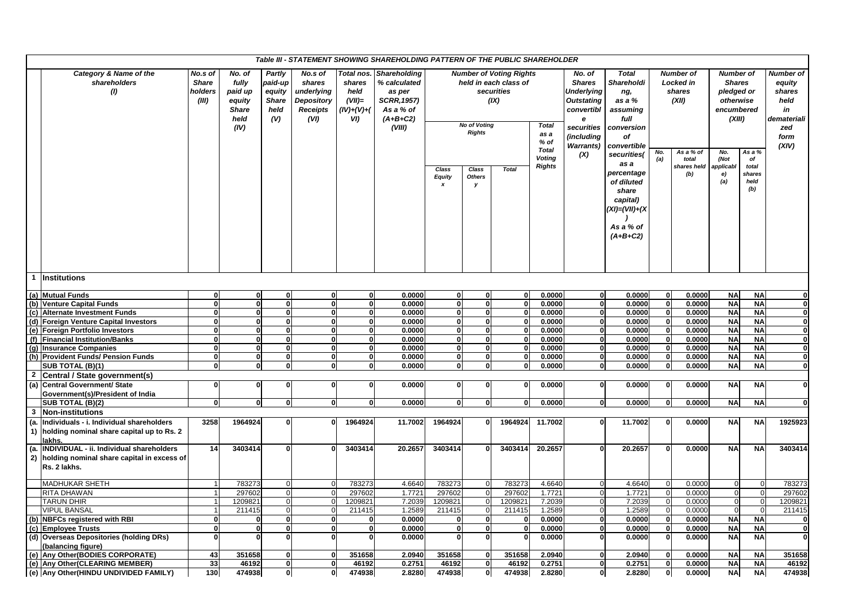|                | Table III - STATEMENT SHOWING SHAREHOLDING PATTERN OF THE PUBLIC SHAREHOLDER<br>Category & Name of the<br><b>Total</b><br>No.s of<br>No. of<br>Partly<br>No.s of<br>Total nos.<br><b>Number of Voting Rights</b><br>No. of<br><b>Number of</b><br><b>Number of</b><br>Number of<br><b>Shareholding</b><br>shareholders<br><b>Share</b><br>fully<br>paid-up<br>shares<br>% calculated<br>held in each class of<br><b>Shares</b><br>Shareholdi<br><b>Locked</b> in<br><b>Shares</b><br>shares<br>equity |                  |                                                   |                                       |                                                     |                                           |                                                                   |                                            |                                      |                    |                                                |                                                                                                           |                                                                                                                  |              |                              |                                                 |                                                |                                                             |
|----------------|-------------------------------------------------------------------------------------------------------------------------------------------------------------------------------------------------------------------------------------------------------------------------------------------------------------------------------------------------------------------------------------------------------------------------------------------------------------------------------------------------------|------------------|---------------------------------------------------|---------------------------------------|-----------------------------------------------------|-------------------------------------------|-------------------------------------------------------------------|--------------------------------------------|--------------------------------------|--------------------|------------------------------------------------|-----------------------------------------------------------------------------------------------------------|------------------------------------------------------------------------------------------------------------------|--------------|------------------------------|-------------------------------------------------|------------------------------------------------|-------------------------------------------------------------|
|                | (1)                                                                                                                                                                                                                                                                                                                                                                                                                                                                                                   | holders<br>(III) | paid up<br>equity<br><b>Share</b><br>held<br>(IV) | equity<br><b>Share</b><br>held<br>(V) | underlying<br>Depository<br><b>Receipts</b><br>(VI) | held<br>$(VII)=$<br>$(IV)+(V)+(V)$<br>VI) | as per<br><b>SCRR, 1957)</b><br>As a % of<br>$(A+B+C2)$<br>(VIII) |                                            | <b>No of Voting</b><br><b>Rights</b> | securities<br>(IX) | <b>Total</b><br>as a<br>$%$ of<br><b>Total</b> | <b>Underlying</b><br><b>Outstating</b><br>convertibl<br>e<br>securities<br>(including<br><b>Warrants)</b> | ng,<br>as a %<br>assuming<br>full<br>conversion<br>of<br>convertible                                             |              | shares<br>(XII)<br>As a % of | pledged or<br>otherwise<br>encumbered<br>(XIII) |                                                | shares<br>held<br>in<br>demateriali<br>zed<br>form<br>(XIV) |
|                |                                                                                                                                                                                                                                                                                                                                                                                                                                                                                                       |                  |                                                   |                                       |                                                     |                                           |                                                                   | <b>Class</b><br><b>Equity</b><br>$\pmb{x}$ | Class<br><b>Others</b><br>у          | <b>Total</b>       | <b>Voting</b><br><b>Rights</b>                 | (X)                                                                                                       | securities(<br>as a<br>percentage<br>of diluted<br>share<br>capital)<br>(XI)=(VII)+(X<br>As a % of<br>$(A+B+C2)$ | No.<br>(a)   | total<br>shares held<br>(b)  | No.<br>(Not<br>applicabl<br>e)<br>(a)           | As a %<br>of<br>total<br>shares<br>held<br>(b) |                                                             |
|                | <b>Institutions</b>                                                                                                                                                                                                                                                                                                                                                                                                                                                                                   |                  |                                                   |                                       |                                                     |                                           |                                                                   |                                            |                                      |                    |                                                |                                                                                                           |                                                                                                                  |              |                              |                                                 |                                                |                                                             |
|                | (a) Mutual Funds                                                                                                                                                                                                                                                                                                                                                                                                                                                                                      | $\mathbf{0}$     | $\mathbf{0}$                                      | 0                                     | $\mathbf{0}$                                        | $\mathbf{0}$                              | 0.0000                                                            | 0                                          | $\mathbf 0$                          |                    | 0.0000                                         | $\mathbf{0}$                                                                                              | 0.0000                                                                                                           | $\mathbf 0$  | 0.0000                       | <b>NA</b>                                       | <b>NA</b>                                      | $\mathbf{0}$                                                |
|                | (b) Venture Capital Funds                                                                                                                                                                                                                                                                                                                                                                                                                                                                             | $\mathbf{0}$     | $\mathbf{0}$                                      | $\mathbf{0}$                          | $\mathbf{0}$                                        | $\mathbf{0}$                              | 0.0000                                                            | <sub>0</sub>                               | $\mathbf{0}$                         |                    | 0.0000                                         | $\overline{0}$                                                                                            | 0.0000                                                                                                           | $\mathbf{0}$ | 0.0000                       | <b>NA</b>                                       | <b>NA</b>                                      | $\mathbf{0}$                                                |
|                | (c) Alternate Investment Funds                                                                                                                                                                                                                                                                                                                                                                                                                                                                        | $\mathbf{0}$     | $\mathbf{0}$                                      | $\mathbf{0}$                          | $\mathbf{0}$                                        | $\mathbf{0}$                              | 0.0000                                                            | <sub>0</sub>                               | $\mathbf{0}$                         |                    | 0.0000                                         | $\overline{0}$                                                                                            | 0.0000                                                                                                           |              | $\mathbf{0}$<br>0.0000       | <b>NA</b>                                       | <b>NA</b>                                      | $\mathbf{0}$                                                |
|                | (d) Foreign Venture Capital Investors                                                                                                                                                                                                                                                                                                                                                                                                                                                                 | $\mathbf{0}$     | 0                                                 | $\mathbf{0}$                          | $\mathbf{0}$                                        | $\mathbf{0}$                              | 0.0000                                                            | <sub>0</sub>                               | <sub>0</sub>                         |                    | 0.0000                                         | $\overline{\mathbf{0}}$                                                                                   | 0.0000                                                                                                           |              | 0.0000<br>$\mathbf{0}$       | <b>NA</b>                                       | <b>NA</b>                                      | $\mathbf 0$                                                 |
|                | (e) Foreign Portfolio Investors                                                                                                                                                                                                                                                                                                                                                                                                                                                                       | $\mathbf{0}$     | $\bf{0}$                                          | $\mathbf{0}$                          | $\mathbf{0}$                                        | $\mathbf{0}$                              | 0.0000                                                            | 0                                          | $\mathbf{0}$                         |                    | 0.0000                                         | $\mathbf{0}$                                                                                              | 0.0000                                                                                                           |              | 0.0000<br>$\mathbf{0}$       | <b>NA</b>                                       | <b>NA</b>                                      | $\mathbf 0$                                                 |
|                | (f) Financial Institution/Banks                                                                                                                                                                                                                                                                                                                                                                                                                                                                       | $\mathbf{0}$     | $\mathbf{0}$                                      | $\overline{\mathbf{0}}$               | $\overline{\mathbf{0}}$                             | $\bf{0}$                                  | 0.0000                                                            | 0                                          | ō                                    |                    | 0.0000                                         | $\overline{0}$                                                                                            | 0.0000                                                                                                           |              | $\mathbf{0}$<br>0.0000       | <b>NA</b>                                       | <b>NA</b>                                      | $\overline{\mathbf{o}}$                                     |
|                | (g) Insurance Companies                                                                                                                                                                                                                                                                                                                                                                                                                                                                               | $\mathbf{0}$     | $\mathbf{0}$                                      | $\mathbf{0}$                          | $\mathbf{0}$                                        | $\mathbf{0}$                              | 0.0000                                                            | <sub>0</sub>                               | $\mathbf{0}$                         |                    | 0.0000                                         | $\overline{0}$                                                                                            | 0.0000                                                                                                           |              | 0.0000<br>$\mathbf{0}$       | <b>NA</b>                                       | <b>NA</b>                                      | $\mathbf{0}$                                                |
|                | (h) Provident Funds/ Pension Funds                                                                                                                                                                                                                                                                                                                                                                                                                                                                    | 0                | $\mathbf{0}$                                      | $\mathbf{0}$                          | $\mathbf{0}$                                        | $\mathbf{0}$                              | 0.0000                                                            | $\mathbf{0}$                               | $\mathbf{0}$                         | ŋ                  | 0.0000                                         | $\overline{\mathbf{0}}$                                                                                   | 0.0000                                                                                                           |              | 0.0000<br>$\mathbf{0}$       | <b>NA</b>                                       | <b>NA</b>                                      | $\mathbf 0$                                                 |
|                | SUB TOTAL (B)(1)                                                                                                                                                                                                                                                                                                                                                                                                                                                                                      | $\mathbf{0}$     | $\mathbf{0}$                                      | $\Omega$                              | $\mathbf{0}$                                        | $\mathbf{0}$                              | 0.0000                                                            | $\mathbf{0}$                               | $\mathbf{0}$                         | $\Omega$           | 0.0000                                         | $\mathbf{0}$                                                                                              | 0.0000                                                                                                           |              | 0.0000<br>$\mathbf{0}$       | <b>NA</b>                                       | <b>NA</b>                                      | $\mathbf 0$                                                 |
| $\overline{2}$ | Central / State government(s)                                                                                                                                                                                                                                                                                                                                                                                                                                                                         |                  |                                                   |                                       |                                                     |                                           |                                                                   |                                            |                                      |                    |                                                |                                                                                                           |                                                                                                                  |              |                              |                                                 |                                                |                                                             |
|                | (a) Central Government/ State<br>Government(s)/President of India                                                                                                                                                                                                                                                                                                                                                                                                                                     | $\mathbf 0$      | $\mathbf{0}$                                      | $\Omega$                              | $\Omega$                                            | $\mathbf{0}$                              | 0.0000                                                            | $\Omega$                                   | $\Omega$                             | $\Omega$           | 0.0000                                         | $\mathbf{0}$                                                                                              | 0.0000                                                                                                           |              | 0.0000<br>$\mathbf{0}$       | <b>NA</b>                                       | <b>NA</b>                                      | $\mathbf{0}$                                                |
|                | SUB TOTAL (B)(2)                                                                                                                                                                                                                                                                                                                                                                                                                                                                                      | $\mathbf{0}$     | $\mathbf{0}$                                      | 0                                     | $\mathbf{0}$                                        | $\mathbf{0}$                              | 0.0000                                                            | 0                                          | $\mathbf{0}$                         | $\Omega$           | 0.0000                                         | $\mathbf{0}$                                                                                              | 0.0000                                                                                                           |              | 0.0000<br>0                  | <b>NA</b>                                       | <b>NA</b>                                      | $\mathbf{0}$                                                |
| 3              | Non-institutions                                                                                                                                                                                                                                                                                                                                                                                                                                                                                      |                  |                                                   |                                       |                                                     |                                           |                                                                   |                                            |                                      |                    |                                                |                                                                                                           |                                                                                                                  |              |                              |                                                 |                                                |                                                             |
| (a.            | Individuals - i. Individual shareholders<br>1) holding nominal share capital up to Rs. 2<br>lakhs.                                                                                                                                                                                                                                                                                                                                                                                                    | 3258             | 1964924                                           | $\mathbf{a}$                          | $\mathbf{0}$                                        | 1964924                                   | 11.7002                                                           | 1964924                                    | $\mathbf{0}$                         | 1964924            | 11.7002                                        | $\mathbf{0}$                                                                                              | 11.7002                                                                                                          | $\mathbf{0}$ | 0.0000                       | <b>NA</b>                                       | <b>NA</b>                                      | 1925923                                                     |
| (a.<br>2)      | INDIVIDUAL - ii. Individual shareholders<br>holding nominal share capital in excess of<br>Rs. 2 lakhs.                                                                                                                                                                                                                                                                                                                                                                                                | 14               | 3403414                                           |                                       | $\mathbf{0}$                                        | 3403414                                   | 20.2657                                                           | 3403414                                    |                                      | 3403414            | 20.2657                                        | $\mathbf{0}$                                                                                              | 20.2657                                                                                                          | $\mathbf{0}$ | 0.0000                       | <b>NA</b>                                       | <b>NA</b>                                      | 3403414                                                     |
|                | <b>MADHUKAR SHETH</b>                                                                                                                                                                                                                                                                                                                                                                                                                                                                                 | $\mathbf{1}$     | 783273                                            | $\mathbf 0$                           | $\mathbf 0$                                         | 783273                                    | 4.6640                                                            | 783273                                     | $\overline{0}$                       | 783273             | 4.6640                                         | $\mathbf 0$                                                                                               | 4.6640                                                                                                           | $\mathbf 0$  | 0.0000                       | $\Omega$                                        | $\overline{0}$                                 | 783273                                                      |
|                | <b>RITA DHAWAN</b>                                                                                                                                                                                                                                                                                                                                                                                                                                                                                    | $\overline{1}$   | 297602                                            | $\mathbf 0$                           | $\mathbf 0$                                         | 297602                                    | 1.7721                                                            | 297602                                     | $\Omega$                             | 297602             | 1.7721                                         | $\overline{0}$                                                                                            | 1.7721                                                                                                           | $\mathbf 0$  | 0.0000                       |                                                 | $\overline{0}$                                 | 297602                                                      |
|                | <b>TARUN DHIR</b>                                                                                                                                                                                                                                                                                                                                                                                                                                                                                     | $\mathbf{1}$     | 1209821                                           | $\mathbf 0$                           | $\mathbf 0$                                         | 1209821                                   | 7.2039                                                            | 1209821                                    | $\mathbf 0$                          | 1209821            | 7.2039                                         | $\mathbf 0$                                                                                               | 7.2039                                                                                                           | 0            | 0.0000                       | $\Omega$                                        | $\overline{0}$                                 | 1209821                                                     |
|                | <b>VIPUL BANSAL</b>                                                                                                                                                                                                                                                                                                                                                                                                                                                                                   |                  | 211415                                            | $\mathbf 0$                           | $\mathbf 0$                                         | 211415                                    | 1.2589                                                            | 211415                                     | $\Omega$                             | 211415             | 1.2589                                         | $\overline{0}$                                                                                            | 1.2589                                                                                                           | $\Omega$     | 0.0000                       |                                                 | $\Omega$                                       | 211415                                                      |
| (b)            | <b>NBFCs registered with RBI</b>                                                                                                                                                                                                                                                                                                                                                                                                                                                                      | $\mathbf{0}$     | 0                                                 | $\mathbf{0}$                          | $\mathbf{0}$                                        | $\bf{0}$                                  | 0.0000                                                            | $\mathbf{0}$                               | $\mathbf{0}$                         |                    | 0.0000                                         | $\overline{0}$                                                                                            | 0.0000                                                                                                           | $\mathbf{0}$ | 0.0000                       | <b>NA</b>                                       | <b>NA</b>                                      | $\mathbf{0}$                                                |
|                | (c) Employee Trusts                                                                                                                                                                                                                                                                                                                                                                                                                                                                                   | $\mathbf{0}$     | $\mathbf{0}$                                      | $\mathbf{0}$                          | $\mathbf{0}$                                        | $\mathbf{0}$                              | 0.0000                                                            | 0                                          | $\mathbf{0}$                         |                    | 0.0000                                         | $\overline{0}$                                                                                            | 0.0000                                                                                                           |              | 0.0000<br>$\mathbf{0}$       | <b>NA</b>                                       | <b>NA</b>                                      | $\mathbf{0}$                                                |
|                | (d) Overseas Depositories (holding DRs)<br>(balancing figure)                                                                                                                                                                                                                                                                                                                                                                                                                                         | $\mathbf{0}$     | $\Omega$                                          |                                       | $\mathbf{0}$                                        | $\mathbf{0}$                              | 0.0000                                                            | $\Omega$                                   | $\Omega$                             |                    | 0.0000                                         | $\mathbf{0}$                                                                                              | 0.0000                                                                                                           |              | $\mathbf{0}$<br>0.0000       | <b>NA</b>                                       | <b>NA</b>                                      | $\mathbf{0}$                                                |
|                | (e) Any Other (BODIES CORPORATE)                                                                                                                                                                                                                                                                                                                                                                                                                                                                      | 43               | 351658                                            | $\mathbf{0}$                          | $\mathbf{0}$                                        | 351658                                    | 2.0940                                                            | 351658                                     | $\mathbf{0}$                         | 351658             | 2.0940                                         | $\mathbf{0}$                                                                                              | 2.0940                                                                                                           | $\mathbf{0}$ | 0.0000                       | <b>NA</b>                                       | <b>NA</b>                                      | 351658                                                      |
|                | (e) Any Other (CLEARING MEMBER)                                                                                                                                                                                                                                                                                                                                                                                                                                                                       | 33               | 46192                                             | $\mathbf{0}$                          | $\mathbf{0}$                                        | 46192                                     | 0.2751                                                            | 46192                                      | $\mathbf{0}$                         | 46192              | 0.2751                                         | $\mathbf{0}$                                                                                              | 0.2751                                                                                                           |              | $\mathbf{0}$<br>0.0000       | <b>NA</b>                                       | <b>NA</b>                                      | 46192                                                       |
|                | (e) Any Other(HINDU UNDIVIDED FAMILY)                                                                                                                                                                                                                                                                                                                                                                                                                                                                 | 130 <sub>1</sub> | 474938                                            | 0                                     | $\mathbf{0}$                                        | 474938                                    | 2.8280                                                            | 474938                                     | 0                                    | 474938             | 2.8280                                         | 0                                                                                                         | 2.8280                                                                                                           |              | $\mathbf{0}$<br>0.0000       | <b>NA</b>                                       | <b>NA</b>                                      | 474938                                                      |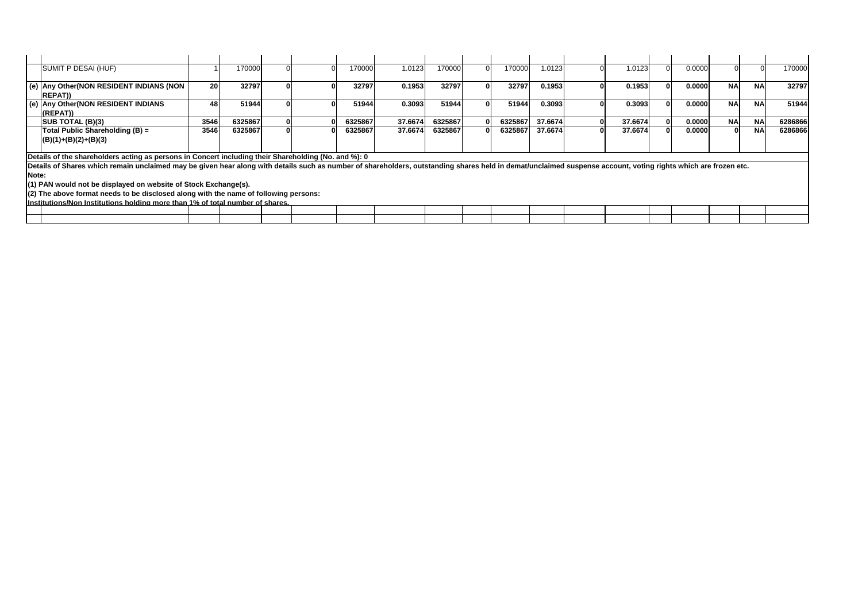| SUMIT P DESAI (HUF)                                                                                                                                                                                            |      | 170000  |  | 170000  | 1.0123  | 170000  | 170000  | .0123   | 1.0123  | 0.0000 |           |           | 170000  |
|----------------------------------------------------------------------------------------------------------------------------------------------------------------------------------------------------------------|------|---------|--|---------|---------|---------|---------|---------|---------|--------|-----------|-----------|---------|
| (e) Any Other(NON RESIDENT INDIANS (NON  <br><b>IREPAT)</b>                                                                                                                                                    | 20   | 32797   |  | 32797   | 0.1953  | 32797   | 32797   | 0.1953  | 0.1953  | 0.0000 | <b>NA</b> | <b>NA</b> | 32797   |
| (e) Any Other (NON RESIDENT INDIANS<br>(REPAT))                                                                                                                                                                | 481  | 51944   |  | 51944   | 0.3093  | 51944   | 51944   | 0.3093  | 0.3093  | 0.0000 | <b>NA</b> | <b>NA</b> | 51944   |
| <b>SUB TOTAL (B)(3)</b>                                                                                                                                                                                        | 3546 | 6325867 |  | 6325867 | 37.6674 | 6325867 | 6325867 | 37.6674 | 37.6674 | 0.0000 | <b>NA</b> | <b>NA</b> | 6286866 |
| Total Public Shareholding (B) =<br>$(B)(1)+(B)(2)+(B)(3)$                                                                                                                                                      | 3546 | 6325867 |  | 6325867 | 37.6674 | 6325867 | 6325867 | 37.6674 | 37.6674 | 0.0000 | 0.        | <b>NA</b> | 6286866 |
| Details of the shareholders acting as persons in Concert including their Shareholding (No. and %): 0                                                                                                           |      |         |  |         |         |         |         |         |         |        |           |           |         |
| Details of Shares which remain unclaimed may be given hear along with details such as number of shareholders, outstanding shares held in demat/unclaimed suspense account, voting rights which are frozen etc. |      |         |  |         |         |         |         |         |         |        |           |           |         |

**Note:**

**(1) PAN would not be displayed on website of Stock Exchange(s).**

**(2) The above format needs to be disclosed along with the name of following persons:**

**Institutions/Non Institutions holding more than 1% of total number of shares.**

| ------- |  |  |  |  |  |  |  |  |  |
|---------|--|--|--|--|--|--|--|--|--|
|         |  |  |  |  |  |  |  |  |  |
|         |  |  |  |  |  |  |  |  |  |
|         |  |  |  |  |  |  |  |  |  |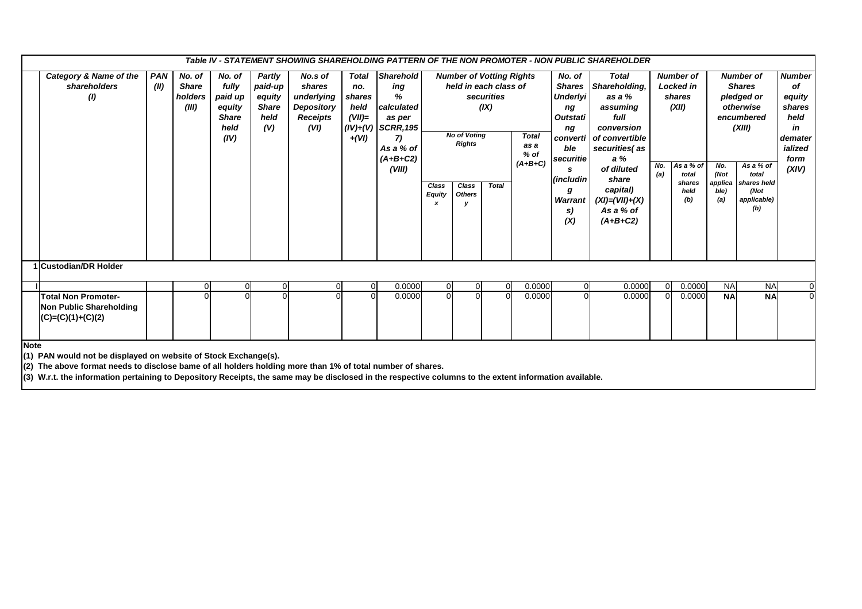|             | Table IV - STATEMENT SHOWING SHAREHOLDING PATTERN OF THE NON PROMOTER - NON PUBLIC SHAREHOLDER<br><b>Sharehold</b><br>Category & Name of the<br><b>Number</b><br><b>PAN</b><br>No. of<br>No. of<br>Partly<br><b>Number of Votting Rights</b><br>No. of<br><b>Total</b><br><b>Number of</b><br><b>Number of</b><br>No.s of<br><b>Total</b> |      |                                  |                                                            |                                                  |                                                               |                                              |                                                                                                     |                             |                                                                                                                                                                       |  |                                                                                                                                                |                                                                                                                                                                                          |            |                                                                                    |                                       |                                                                                                                                     |                                                                             |  |
|-------------|-------------------------------------------------------------------------------------------------------------------------------------------------------------------------------------------------------------------------------------------------------------------------------------------------------------------------------------------|------|----------------------------------|------------------------------------------------------------|--------------------------------------------------|---------------------------------------------------------------|----------------------------------------------|-----------------------------------------------------------------------------------------------------|-----------------------------|-----------------------------------------------------------------------------------------------------------------------------------------------------------------------|--|------------------------------------------------------------------------------------------------------------------------------------------------|------------------------------------------------------------------------------------------------------------------------------------------------------------------------------------------|------------|------------------------------------------------------------------------------------|---------------------------------------|-------------------------------------------------------------------------------------------------------------------------------------|-----------------------------------------------------------------------------|--|
|             | shareholders<br>(1)                                                                                                                                                                                                                                                                                                                       | (II) | <b>Share</b><br>holders<br>(III) | fully<br>paid up<br>equity<br><b>Share</b><br>held<br>(IV) | paid-up<br>equity<br><b>Share</b><br>held<br>(V) | shares<br>underlying<br><b>Depository</b><br>Receipts<br>(VI) | no.<br>shares<br>held<br>$(VII)=$<br>$+(VI)$ | ing<br>%<br>calculated<br>as per<br>$(IV)+(V)$ SCRR, 195<br>7)<br>As a % of<br>$(A+B+C2)$<br>(VIII) | Class<br><b>Equity</b><br>x | held in each class of<br>securities<br>(IX)<br><b>No of Voting</b><br>Total<br><b>Rights</b><br>as a<br>$%$ of<br>$(A+B+C)$<br>Class<br><b>Total</b><br><b>Others</b> |  | <b>Shares</b><br><b>Underlyi</b><br>ng<br><b>Outstati</b><br>ng<br>converti<br>ble<br>securitie<br>s<br>(includin<br>g<br>Warrant<br>S)<br>(X) | Shareholding,<br>as a %<br>assuming<br>full<br>conversion<br>of convertible<br>securities(as<br>a%<br>of diluted<br>share<br>capital)<br>$(XI) = (VII) + (X)$<br>As a % of<br>$(A+B+C2)$ | No.<br>(a) | <b>Locked in</b><br>shares<br>(XII)<br>As a % of<br>total<br>shares<br>held<br>(b) | No.<br>(Not<br>applica<br>ble)<br>(a) | <b>Shares</b><br>pledged or<br>otherwise<br>encumbered<br>(XIII)<br>As a % of<br>total<br>shares held<br>(Not<br>applicable)<br>(b) | of<br>equity<br>shares<br>held<br>in<br>demater<br>ialized<br>form<br>(XIV) |  |
|             | 1 Custodian/DR Holder                                                                                                                                                                                                                                                                                                                     |      |                                  |                                                            |                                                  |                                                               |                                              |                                                                                                     |                             |                                                                                                                                                                       |  |                                                                                                                                                |                                                                                                                                                                                          |            |                                                                                    |                                       |                                                                                                                                     |                                                                             |  |
|             |                                                                                                                                                                                                                                                                                                                                           |      |                                  | 0                                                          |                                                  |                                                               | $\overline{0}$                               | 0.0000                                                                                              | $\overline{0}$              | $\overline{0}$                                                                                                                                                        |  | 0.0000                                                                                                                                         |                                                                                                                                                                                          | 0.0000     |                                                                                    | 0.0000                                | <b>NA</b>                                                                                                                           | <b>NA</b>                                                                   |  |
|             | 0.0000<br><b>NA</b><br>0.0000<br>$\Omega$<br>0.0000<br>0.0000<br><b>NA</b><br>$\overline{0}$<br><b>Total Non Promoter-</b><br>U<br>Non Public Shareholding<br>$(C)=(C)(1)+(C)(2)$                                                                                                                                                         |      |                                  |                                                            |                                                  |                                                               |                                              |                                                                                                     |                             |                                                                                                                                                                       |  |                                                                                                                                                |                                                                                                                                                                                          |            |                                                                                    |                                       |                                                                                                                                     |                                                                             |  |
| <b>Note</b> | (1) PAN would not be displayed on website of Stock Exchange(s).<br>(2) The above format needs to disclose bame of all holders holding more than 1% of total number of shares.<br>(3) W.r.t. the information pertaining to Depository Receipts, the same may be disclosed in the respective columns to the extent information available.   |      |                                  |                                                            |                                                  |                                                               |                                              |                                                                                                     |                             |                                                                                                                                                                       |  |                                                                                                                                                |                                                                                                                                                                                          |            |                                                                                    |                                       |                                                                                                                                     |                                                                             |  |